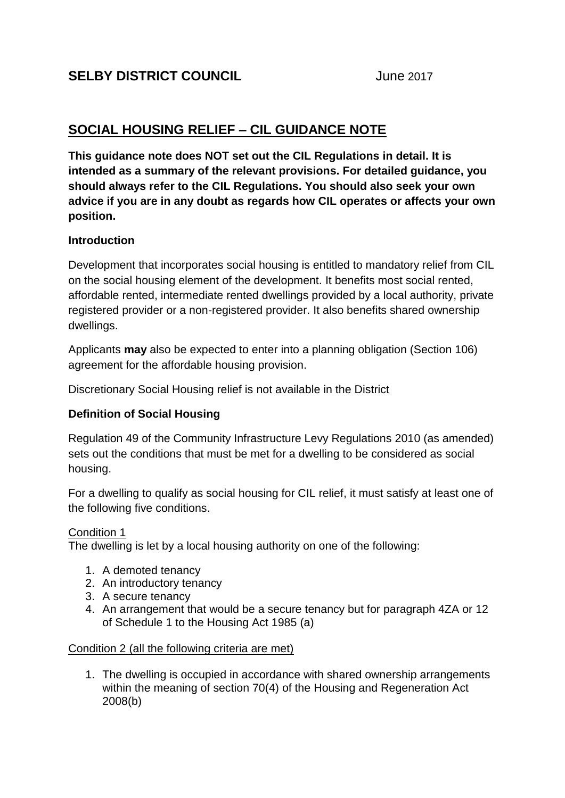# **SOCIAL HOUSING RELIEF – CIL GUIDANCE NOTE**

**This guidance note does NOT set out the CIL Regulations in detail. It is intended as a summary of the relevant provisions. For detailed guidance, you should always refer to the CIL Regulations. You should also seek your own advice if you are in any doubt as regards how CIL operates or affects your own position.**

## **Introduction**

Development that incorporates social housing is entitled to mandatory relief from CIL on the social housing element of the development. It benefits most social rented, affordable rented, intermediate rented dwellings provided by a local authority, private registered provider or a non-registered provider. It also benefits shared ownership dwellings.

Applicants **may** also be expected to enter into a planning obligation (Section 106) agreement for the affordable housing provision.

Discretionary Social Housing relief is not available in the District

## **Definition of Social Housing**

Regulation 49 of the Community Infrastructure Levy Regulations 2010 (as amended) sets out the conditions that must be met for a dwelling to be considered as social housing.

For a dwelling to qualify as social housing for CIL relief, it must satisfy at least one of the following five conditions.

## Condition 1

The dwelling is let by a local housing authority on one of the following:

- 1. A demoted tenancy
- 2. An introductory tenancy
- 3. A secure tenancy
- 4. An arrangement that would be a secure tenancy but for paragraph 4ZA or 12 of Schedule 1 to the Housing Act 1985 (a)

## Condition 2 (all the following criteria are met)

1. The dwelling is occupied in accordance with shared ownership arrangements within the meaning of section 70(4) of the Housing and Regeneration Act 2008(b)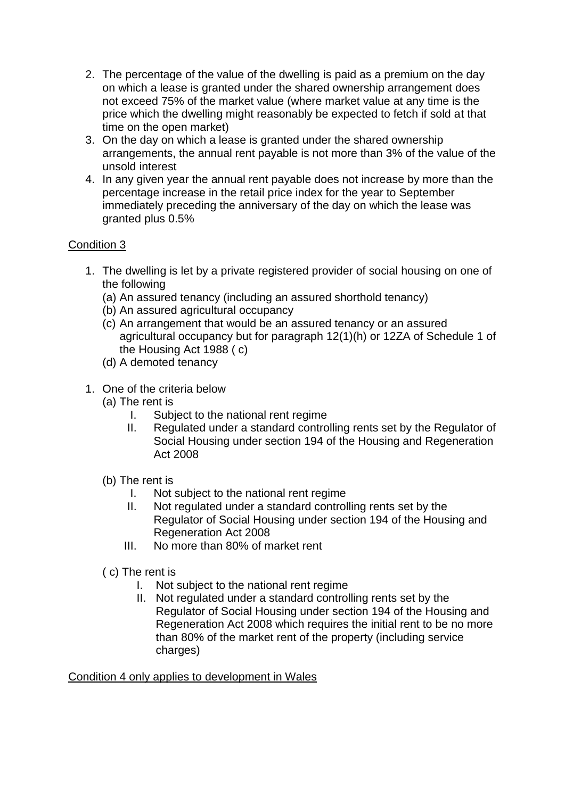- 2. The percentage of the value of the dwelling is paid as a premium on the day on which a lease is granted under the shared ownership arrangement does not exceed 75% of the market value (where market value at any time is the price which the dwelling might reasonably be expected to fetch if sold at that time on the open market)
- 3. On the day on which a lease is granted under the shared ownership arrangements, the annual rent payable is not more than 3% of the value of the unsold interest
- 4. In any given year the annual rent payable does not increase by more than the percentage increase in the retail price index for the year to September immediately preceding the anniversary of the day on which the lease was granted plus 0.5%

## Condition 3

- 1. The dwelling is let by a private registered provider of social housing on one of the following
	- (a) An assured tenancy (including an assured shorthold tenancy)
	- (b) An assured agricultural occupancy
	- (c) An arrangement that would be an assured tenancy or an assured agricultural occupancy but for paragraph 12(1)(h) or 12ZA of Schedule 1 of the Housing Act 1988 ( c)
	- (d) A demoted tenancy
- 1. One of the criteria below
	- (a) The rent is
		- I. Subject to the national rent regime
		- II. Regulated under a standard controlling rents set by the Regulator of Social Housing under section 194 of the Housing and Regeneration Act 2008
	- (b) The rent is
		- I. Not subject to the national rent regime
		- II. Not regulated under a standard controlling rents set by the Regulator of Social Housing under section 194 of the Housing and Regeneration Act 2008
		- III. No more than 80% of market rent
	- ( c) The rent is
		- I. Not subject to the national rent regime
		- II. Not regulated under a standard controlling rents set by the Regulator of Social Housing under section 194 of the Housing and Regeneration Act 2008 which requires the initial rent to be no more than 80% of the market rent of the property (including service charges)

Condition 4 only applies to development in Wales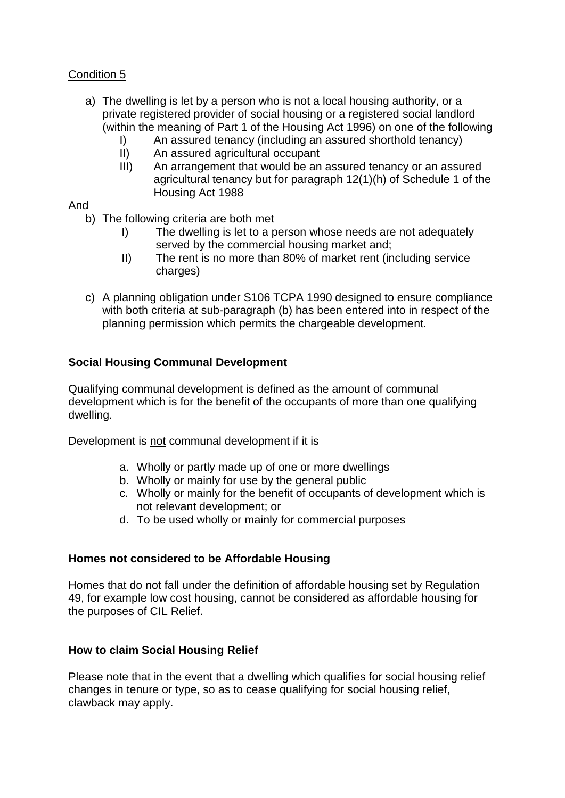## Condition 5

- a) The dwelling is let by a person who is not a local housing authority, or a private registered provider of social housing or a registered social landlord (within the meaning of Part 1 of the Housing Act 1996) on one of the following
	- I) An assured tenancy (including an assured shorthold tenancy)
	- II) An assured agricultural occupant
	- III) An arrangement that would be an assured tenancy or an assured agricultural tenancy but for paragraph 12(1)(h) of Schedule 1 of the Housing Act 1988

## And

- b) The following criteria are both met
	- I) The dwelling is let to a person whose needs are not adequately served by the commercial housing market and;
	- II) The rent is no more than 80% of market rent (including service charges)
- c) A planning obligation under S106 TCPA 1990 designed to ensure compliance with both criteria at sub-paragraph (b) has been entered into in respect of the planning permission which permits the chargeable development.

## **Social Housing Communal Development**

Qualifying communal development is defined as the amount of communal development which is for the benefit of the occupants of more than one qualifying dwelling.

Development is not communal development if it is

- a. Wholly or partly made up of one or more dwellings
- b. Wholly or mainly for use by the general public
- c. Wholly or mainly for the benefit of occupants of development which is not relevant development; or
- d. To be used wholly or mainly for commercial purposes

## **Homes not considered to be Affordable Housing**

Homes that do not fall under the definition of affordable housing set by Regulation 49, for example low cost housing, cannot be considered as affordable housing for the purposes of CIL Relief.

## **How to claim Social Housing Relief**

Please note that in the event that a dwelling which qualifies for social housing relief changes in tenure or type, so as to cease qualifying for social housing relief, clawback may apply.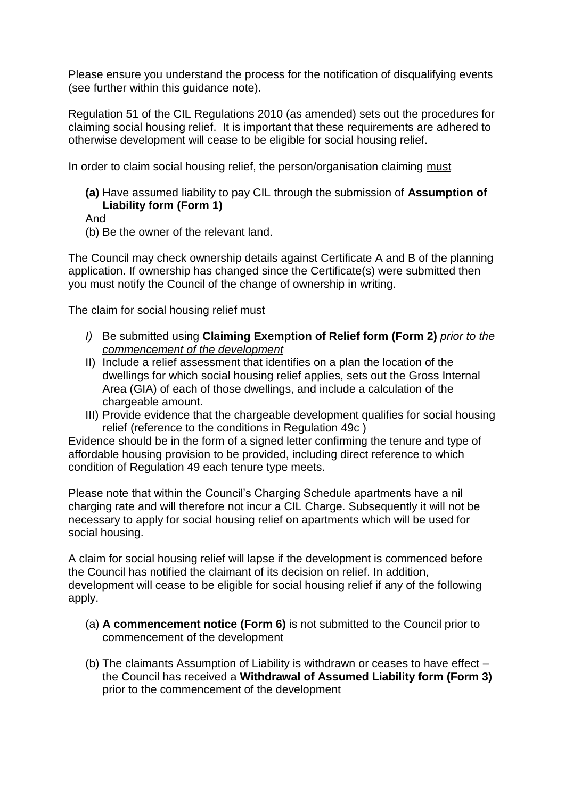Please ensure you understand the process for the notification of disqualifying events (see further within this guidance note).

Regulation 51 of the CIL Regulations 2010 (as amended) sets out the procedures for claiming social housing relief. It is important that these requirements are adhered to otherwise development will cease to be eligible for social housing relief.

In order to claim social housing relief, the person/organisation claiming must

**(a)** Have assumed liability to pay CIL through the submission of **Assumption of Liability form (Form 1)**

And

(b) Be the owner of the relevant land.

The Council may check ownership details against Certificate A and B of the planning application. If ownership has changed since the Certificate(s) were submitted then you must notify the Council of the change of ownership in writing.

The claim for social housing relief must

- *I)* Be submitted using **Claiming Exemption of Relief form (Form 2)** *prior to the commencement of the development*
- II) Include a relief assessment that identifies on a plan the location of the dwellings for which social housing relief applies, sets out the Gross Internal Area (GIA) of each of those dwellings, and include a calculation of the chargeable amount.
- III) Provide evidence that the chargeable development qualifies for social housing relief (reference to the conditions in Regulation 49c )

Evidence should be in the form of a signed letter confirming the tenure and type of affordable housing provision to be provided, including direct reference to which condition of Regulation 49 each tenure type meets.

Please note that within the Council's Charging Schedule apartments have a nil charging rate and will therefore not incur a CIL Charge. Subsequently it will not be necessary to apply for social housing relief on apartments which will be used for social housing.

A claim for social housing relief will lapse if the development is commenced before the Council has notified the claimant of its decision on relief. In addition, development will cease to be eligible for social housing relief if any of the following apply.

- (a) **A commencement notice (Form 6)** is not submitted to the Council prior to commencement of the development
- (b) The claimants Assumption of Liability is withdrawn or ceases to have effect the Council has received a **Withdrawal of Assumed Liability form (Form 3)** prior to the commencement of the development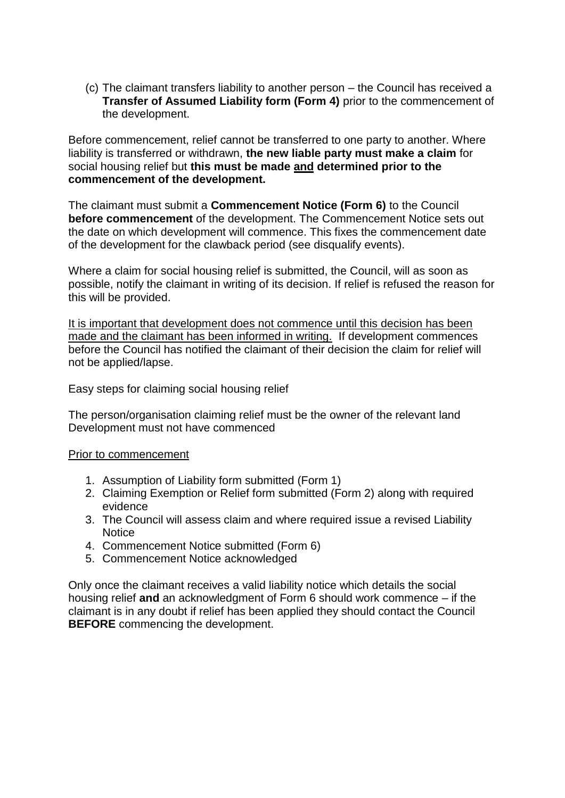(c) The claimant transfers liability to another person – the Council has received a **Transfer of Assumed Liability form (Form 4)** prior to the commencement of the development.

Before commencement, relief cannot be transferred to one party to another. Where liability is transferred or withdrawn, **the new liable party must make a claim** for social housing relief but **this must be made and determined prior to the commencement of the development.**

The claimant must submit a **Commencement Notice (Form 6)** to the Council **before commencement** of the development. The Commencement Notice sets out the date on which development will commence. This fixes the commencement date of the development for the clawback period (see disqualify events).

Where a claim for social housing relief is submitted, the Council, will as soon as possible, notify the claimant in writing of its decision. If relief is refused the reason for this will be provided.

It is important that development does not commence until this decision has been made and the claimant has been informed in writing. If development commences before the Council has notified the claimant of their decision the claim for relief will not be applied/lapse.

Easy steps for claiming social housing relief

The person/organisation claiming relief must be the owner of the relevant land Development must not have commenced

#### Prior to commencement

- 1. Assumption of Liability form submitted (Form 1)
- 2. Claiming Exemption or Relief form submitted (Form 2) along with required evidence
- 3. The Council will assess claim and where required issue a revised Liability **Notice**
- 4. Commencement Notice submitted (Form 6)
- 5. Commencement Notice acknowledged

Only once the claimant receives a valid liability notice which details the social housing relief **and** an acknowledgment of Form 6 should work commence – if the claimant is in any doubt if relief has been applied they should contact the Council **BEFORE** commencing the development.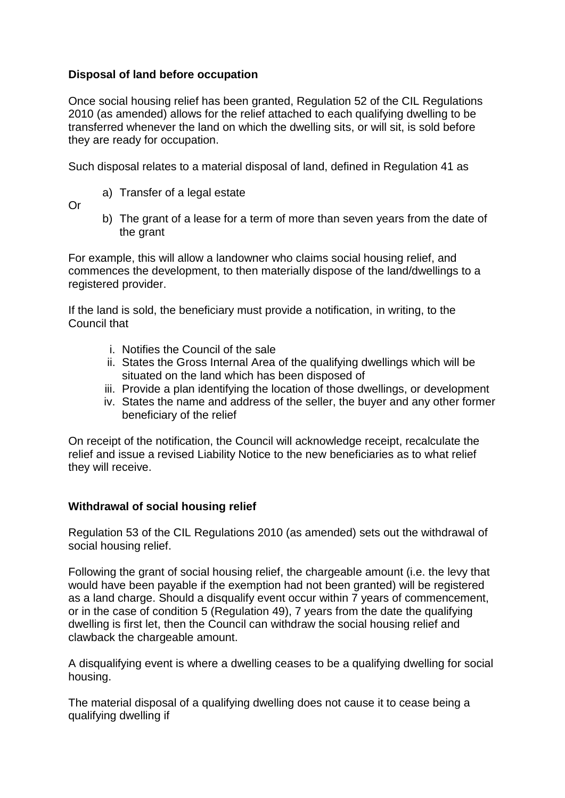## **Disposal of land before occupation**

Once social housing relief has been granted, Regulation 52 of the CIL Regulations 2010 (as amended) allows for the relief attached to each qualifying dwelling to be transferred whenever the land on which the dwelling sits, or will sit, is sold before they are ready for occupation.

Such disposal relates to a material disposal of land, defined in Regulation 41 as

a) Transfer of a legal estate

Or

b) The grant of a lease for a term of more than seven years from the date of the grant

For example, this will allow a landowner who claims social housing relief, and commences the development, to then materially dispose of the land/dwellings to a registered provider.

If the land is sold, the beneficiary must provide a notification, in writing, to the Council that

- i. Notifies the Council of the sale
- ii. States the Gross Internal Area of the qualifying dwellings which will be situated on the land which has been disposed of
- iii. Provide a plan identifying the location of those dwellings, or development
- iv. States the name and address of the seller, the buyer and any other former beneficiary of the relief

On receipt of the notification, the Council will acknowledge receipt, recalculate the relief and issue a revised Liability Notice to the new beneficiaries as to what relief they will receive.

## **Withdrawal of social housing relief**

Regulation 53 of the CIL Regulations 2010 (as amended) sets out the withdrawal of social housing relief.

Following the grant of social housing relief, the chargeable amount (i.e. the levy that would have been payable if the exemption had not been granted) will be registered as a land charge. Should a disqualify event occur within 7 years of commencement, or in the case of condition 5 (Regulation 49), 7 years from the date the qualifying dwelling is first let, then the Council can withdraw the social housing relief and clawback the chargeable amount.

A disqualifying event is where a dwelling ceases to be a qualifying dwelling for social housing.

The material disposal of a qualifying dwelling does not cause it to cease being a qualifying dwelling if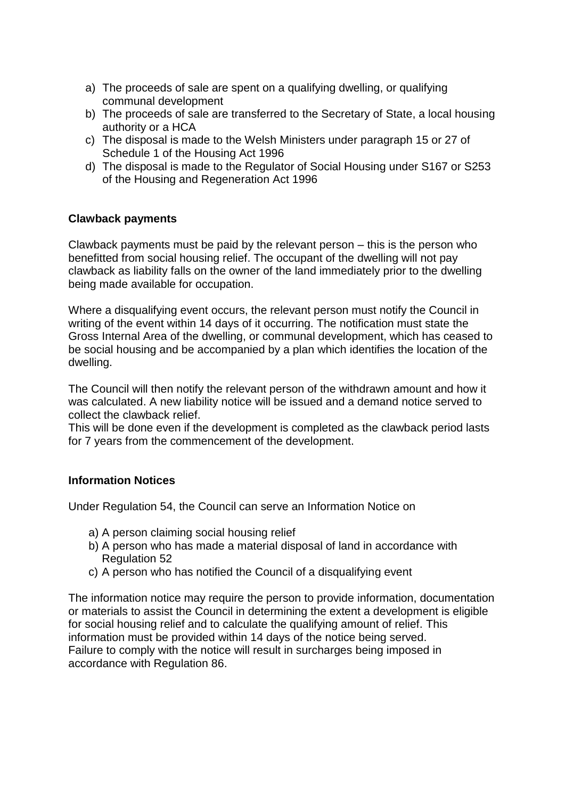- a) The proceeds of sale are spent on a qualifying dwelling, or qualifying communal development
- b) The proceeds of sale are transferred to the Secretary of State, a local housing authority or a HCA
- c) The disposal is made to the Welsh Ministers under paragraph 15 or 27 of Schedule 1 of the Housing Act 1996
- d) The disposal is made to the Regulator of Social Housing under S167 or S253 of the Housing and Regeneration Act 1996

## **Clawback payments**

Clawback payments must be paid by the relevant person – this is the person who benefitted from social housing relief. The occupant of the dwelling will not pay clawback as liability falls on the owner of the land immediately prior to the dwelling being made available for occupation.

Where a disqualifying event occurs, the relevant person must notify the Council in writing of the event within 14 days of it occurring. The notification must state the Gross Internal Area of the dwelling, or communal development, which has ceased to be social housing and be accompanied by a plan which identifies the location of the dwelling.

The Council will then notify the relevant person of the withdrawn amount and how it was calculated. A new liability notice will be issued and a demand notice served to collect the clawback relief.

This will be done even if the development is completed as the clawback period lasts for 7 years from the commencement of the development.

## **Information Notices**

Under Regulation 54, the Council can serve an Information Notice on

- a) A person claiming social housing relief
- b) A person who has made a material disposal of land in accordance with Regulation 52
- c) A person who has notified the Council of a disqualifying event

The information notice may require the person to provide information, documentation or materials to assist the Council in determining the extent a development is eligible for social housing relief and to calculate the qualifying amount of relief. This information must be provided within 14 days of the notice being served. Failure to comply with the notice will result in surcharges being imposed in accordance with Regulation 86.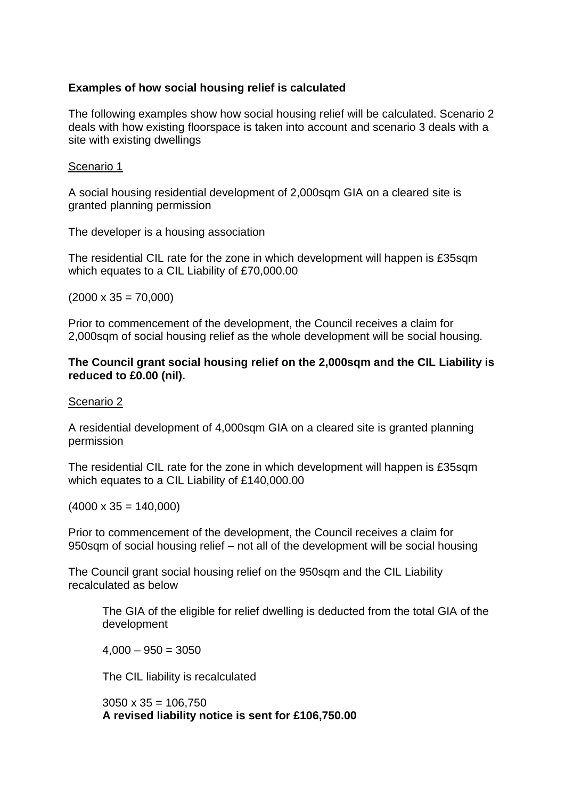## **Examples of how social housing relief is calculated**

The following examples show how social housing relief will be calculated. Scenario 2 deals with how existing floorspace is taken into account and scenario 3 deals with a site with existing dwellings

### Scenario 1

A social housing residential development of 2,000sqm GIA on a cleared site is granted planning permission

The developer is a housing association

The residential CIL rate for the zone in which development will happen is £35sqm which equates to a CIL Liability of £70,000.00

 $(2000 \times 35 = 70,000)$ 

Prior to commencement of the development, the Council receives a claim for 2,000sqm of social housing relief as the whole development will be social housing.

### **The Council grant social housing relief on the 2,000sqm and the CIL Liability is reduced to £0.00 (nil).**

#### Scenario 2

A residential development of 4,000sqm GIA on a cleared site is granted planning permission

The residential CIL rate for the zone in which development will happen is £35sqm which equates to a CIL Liability of £140,000.00

 $(4000 \times 35 = 140,000)$ 

Prior to commencement of the development, the Council receives a claim for 950sqm of social housing relief – not all of the development will be social housing

The Council grant social housing relief on the 950sqm and the CIL Liability recalculated as below

The GIA of the eligible for relief dwelling is deducted from the total GIA of the development

 $4,000 - 950 = 3050$ 

The CIL liability is recalculated

 $3050 \times 35 = 106.750$ **A revised liability notice is sent for £106,750.00**